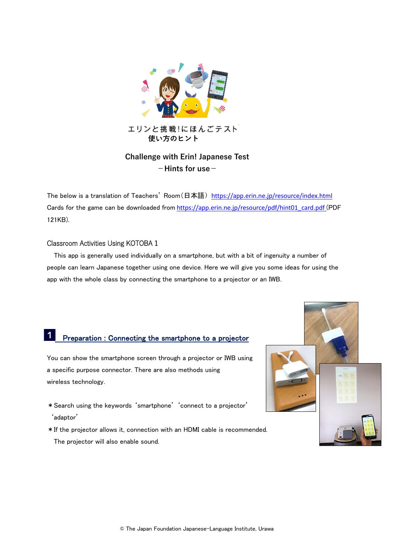

**-Hints for use-**

The below is a translation of Teachers' Room(日本語) <https://app.erin.ne.jp/resource/index.html> Cards for the game can be downloaded from [https://app.erin.ne.jp/resource/pdf/hint01\\_card.pdf](https://app.erin.ne.jp/resource/pdf/hint01_card.pdf) (PDF 121KB).

### Classroom Activities Using KOTOBA 1

l.

This app is generally used individually on a smartphone, but with a bit of ingenuity a number of people can learn Japanese together using one device. Here we will give you some ideas for using the app with the whole class by connecting the smartphone to a projector or an IWB.

## Preparation : Connecting the smartphone to a projector

You can show the smartphone screen through a projector or IWB using a specific purpose connector. There are also methods using wireless technology.

- \*Search using the keywords 'smartphone' 'connect to a projector' 'adaptor'
- \*If the projector allows it, connection with an HDMI cable is recommended. The projector will also enable sound.

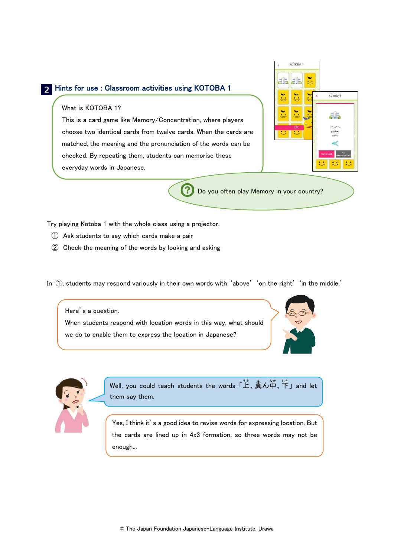#### Hints for use : Classroom activities using KOTOBA 1

#### What is KOTOBA 1?

This is a card game like Memory/Concentration, where players choose two identical cards from twelve cards. When the cards are matched, the meaning and the pronunciation of the words can be checked. By repeating them, students can memorise these everyday words in Japanese.

| ben.<br>c in      | w.<br><b>pri</b> |                        |                                              |
|-------------------|------------------|------------------------|----------------------------------------------|
| aaaa              | anan             | aaan<br>$\left\langle$ | KOTOBA <sub>1</sub>                          |
| mma               | nomul,           | <b>COOL</b>            | $4 - 1$                                      |
| <u>uman Banan</u> | <b>OK!</b>       |                        | がっこう<br>gakkoo<br>school                     |
|                   |                  |                        | $\blacktriangleleft$ 1)<br>Not<br>Memorized! |

Do you often play Memory in your country?

Try playing Kotoba 1 with the whole class using a projector.

- ① Ask students to say which cards make a pair
- ② Check the meaning of the words by looking and asking
- In  $(1)$ , students may respond variously in their own words with 'above' 'on the right' 'in the middle.'

Here's a question. When students respond with location words in this way, what should we do to enable them to express the location in Japanese?





Well, you could teach students the words 「上、真ん苧、下」and let them say them.

Yes, I think it's a good idea to revise words for expressing location. But the cards are lined up in 4x3 formation, so three words may not be enough...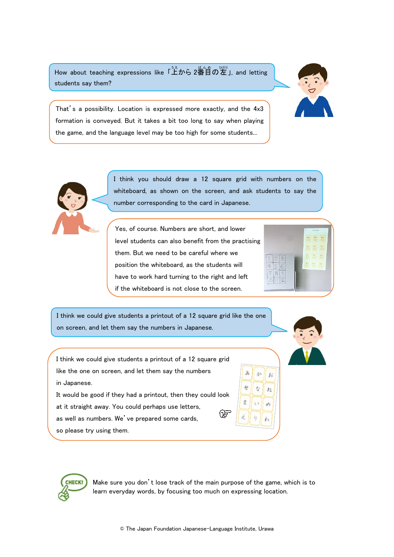How about teaching expressions like 「上から 2番旨の左」, and letting students say them?



That's a possibility. Location is expressed more exactly, and the 4x3 formation is conveyed. But it takes a bit too long to say when playing the game, and the language level may be too high for some students...



I think you should draw a 12 square grid with numbers on the whiteboard, as shown on the screen, and ask students to say the number corresponding to the card in Japanese.

Yes, of course. Numbers are short, and lower level students can also benefit from the practising them. But we need to be careful where we position the whiteboard, as the students will have to work hard turning to the right and left if the whiteboard is not close to the screen.



か お

 $\vec{\tau}_2$  $\overline{1}$ 

sh

 $\pm$ 

 $\Rightarrow$ 

I think we could give students a printout of a 12 square grid like the one on screen, and let them say the numbers in Japanese.

I think we could give students a printout of a 12 square grid like the one on screen, and let them say the numbers in Japanese.

It would be good if they had a printout, then they could look at it straight away. You could perhaps use letters, Œ, as well as numbers. We've prepared some cards,

so please try using them.



Make sure you don't lose track of the main purpose of the game, which is to learn everyday words, by focusing too much on expressing location.